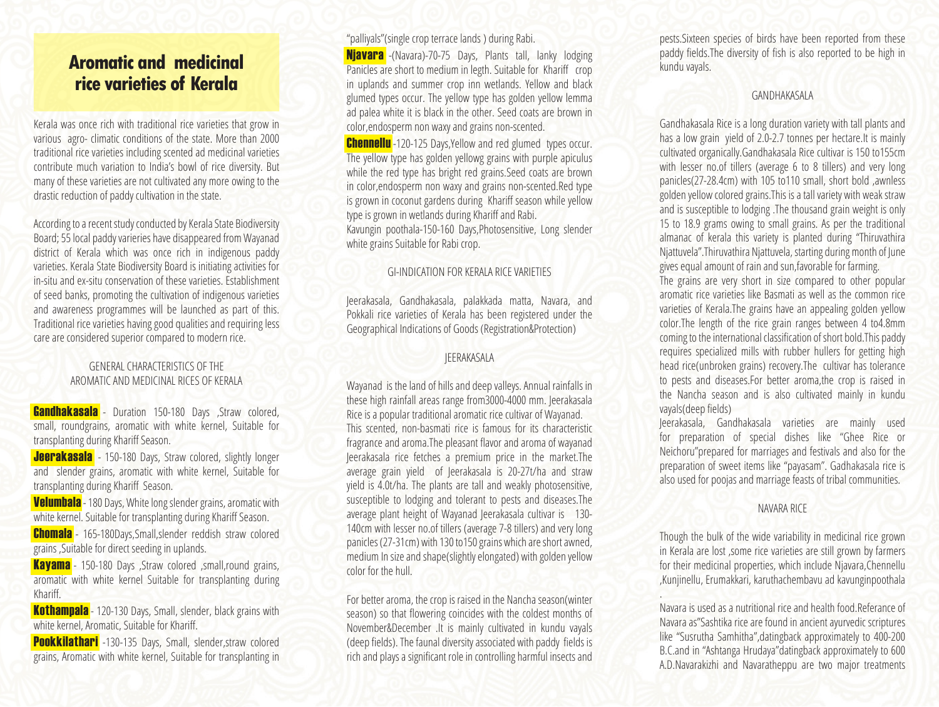## **Aromatic and medicinal rice varieties of Kerala**

Kerala was once rich with traditional rice varieties that grow in various agro- climatic conditions of the state. More than 2000 traditional rice varieties including scented ad medicinal varieties contribute much variation to India's bowl of rice diversity. But many of these varieties are not cultivated any more owing to the drastic reduction of paddy cultivation in the state.

According to a recent study conducted by Kerala State Biodiversity Board; 55 local paddy varieries have disappeared from Wayanad district of Kerala which was once rich in indigenous paddy varieties. Kerala State Biodiversity Board is initiating activities for in-situ and ex-situ conservation of these varieties. Establishment of seed banks, promoting the cultivation of indigenous varieties and awareness programmes will be launched as part of this. Traditional rice varieties having good qualities and requiring less care are considered superior compared to modern rice.

#### GENERAL CHARACTERISTICS OF THE AROMATIC AND MEDICINAL RICES OF KERALA

**Gandhakasala** - Duration 150-180 Days , Straw colored, small, roundgrains, aromatic with white kernel, Suitable for transplanting during Khariff Season.

**Jeerakasala** - 150-180 Days, Straw colored, slightly longer and slender grains, aromatic with white kernel, Suitable for transplanting during Khariff Season.

**Velumbala** - 180 Days, White long slender grains, aromatic with white kernel. Suitable for transplanting during Khariff Season.

Chomala - 165-180Days,Small,slender reddish straw colored grains ,Suitable for direct seeding in uplands.

Kayama - 150-180 Days ,Straw colored ,small,round grains, aromatic with white kernel Suitable for transplanting during Khariff.

**Kothampala** - 120-130 Days, Small, slender, black grains with white kernel, Aromatic, Suitable for Khariff.

Pookkilathari -130-135 Days, Small, slender, straw colored grains, Aromatic with white kernel, Suitable for transplanting in "palliyals"(single crop terrace lands ) during Rabi.

**Njavara** -(Navara)-70-75 Days, Plants tall, lanky lodging **Panicles are short to medium in legth. Suitable for Khariff crop** in uplands and summer crop inn wetlands. Yellow and black glumed types occur. The yellow type has golden yellow lemma ad palea white it is black in the other. Seed coats are brown in color,endosperm non waxy and grains non-scented.

**Chennellu**-120-125 Days, Yellow and red glumed types occur. The yellow type has golden yellowg grains with purple apiculus while the red type has bright red grains. Seed coats are brown in color,endosperm non waxy and grains non-scented.Red type is grown in coconut gardens during Khariff season while yellow type is grown in wetlands during Khariff and Rabi. Kavungin poothala-150-160 Days,Photosensitive, Long slender white grains Suitable for Rabi crop.

#### GI-INDICATION FOR KERALA RICE VARIETIES

Jeerakasala, Gandhakasala, palakkada matta, Navara, and Pokkali rice varieties of Kerala has been registered under the Geographical Indications of Goods (Registration&Protection)

#### JEERAKASALA

Wayanad is the land of hills and deep valleys. Annual rainfalls in these high rainfall areas range from3000-4000 mm. Jeerakasala Rice is a popular traditional aromatic rice cultivar of Wayanad. This scented, non-basmati rice is famous for its characteristic fragrance and aroma. The pleasant flavor and aroma of wayanad Jeerakasala rice fetches a premium price in the market.The average grain yield of Jeerakasala is 20-27t/ha and straw yield is 4.0t/ha. The plants are tall and weakly photosensitive, susceptible to lodging and tolerant to pests and diseases.The average plant height of Wayanad Jeerakasala cultivar is 130- 140cm with lesser no.of tillers (average 7-8 tillers) and very long panicles (27-31cm) with 130 to150 grains which are short awned, medium In size and shape(slightly elongated) with golden yellow color for the hull.

For better aroma, the crop is raised in the Nancha season(winter season) so that flowering coincides with the coldest months of November&December .It is mainly cultivated in kundu vayals (deep fields). The faunal diversity associated with paddy fields is rich and plays a significant role in controlling harmful insects and

pests.Sixteen species of birds have been reported from these paddy fields. The diversity of fish is also reported to be high in kundu vayals.

#### GANDHAKASALA

Gandhakasala Rice is a long duration variety with tall plants and has a low grain yield of 2.0-2.7 tonnes per hectare.It is mainly cultivated organically.Gandhakasala Rice cultivar is 150 to155cm with lesser no.of tillers (average 6 to 8 tillers) and very long panicles(27-28.4cm) with 105 to110 small, short bold ,awnless golden yellow colored grains.This is a tall variety with weak straw and is susceptible to lodging .The thousand grain weight is only 15 to 18.9 grams owing to small grains. As per the traditional almanac of kerala this variety is planted during "Thiruvathira Njattuvela".Thiruvathira Njattuvela, starting during month of June gives equal amount of rain and sun,favorable for farming. The grains are very short in size compared to other popular aromatic rice varieties like Basmati as well as the common rice varieties of Kerala.The grains have an appealing golden yellow color.The length of the rice grain ranges between 4 to4.8mm coming to the international classification of short bold. This paddy

requires specialized mills with rubber hullers for getting high head rice(unbroken grains) recovery.The cultivar has tolerance to pests and diseases.For better aroma,the crop is raised in the Nancha season and is also cultivated mainly in kundu vayals(deep fields)

Jeerakasala, Gandhakasala varieties are mainly used for preparation of special dishes like "Ghee Rice or Neichoru"prepared for marriages and festivals and also for the preparation of sweet items like "payasam". Gadhakasala rice is also used for poojas and marriage feasts of tribal communities.

#### NAVARA RICE

Though the bulk of the wide variability in medicinal rice grown in Kerala are lost ,some rice varieties are still grown by farmers for their medicinal properties, which include Njavara,Chennellu ,Kunjinellu, Erumakkari, karuthachembavu ad kavunginpoothala

. Navara is used as a nutritional rice and health food.Referance of Navara as"Sashtika rice are found in ancient ayurvedic scriptures like "Susrutha Samhitha",datingback approximately to 400-200 B.C.and in "Ashtanga Hrudaya"datingback approximately to 600 A.D.Navarakizhi and Navaratheppu are two major treatments